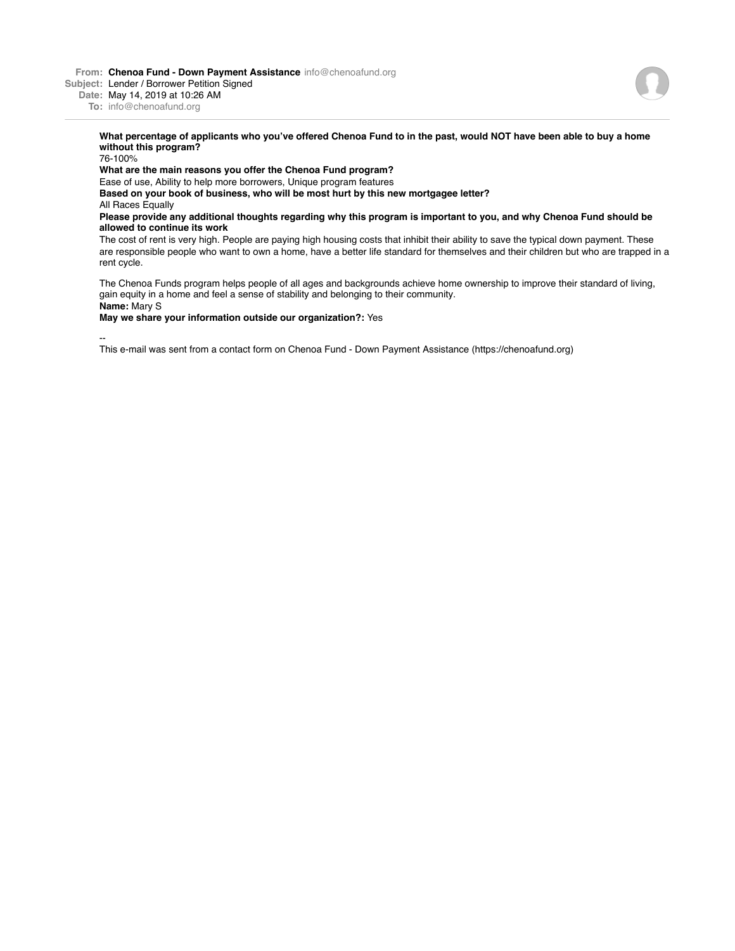**From: Chenoa Fund - Down Payment Assistance** info@chenoafund.org

**Subject:** Lender / Borrower Petition Signed

**Date:** May 14, 2019 at 10:26 AM

**To:** info@chenoafund.org

## **What percentage of applicants who you've offered Chenoa Fund to in the past, would NOT have been able to buy a home without this program?**

76-100%

**What are the main reasons you offer the Chenoa Fund program?**

Ease of use, Ability to help more borrowers, Unique program features

**Based on your book of business, who will be most hurt by this new mortgagee letter?**

All Races Equally

## **Please provide any additional thoughts regarding why this program is important to you, and why Chenoa Fund should be allowed to continue its work**

The cost of rent is very high. People are paying high housing costs that inhibit their ability to save the typical down payment. These are responsible people who want to own a home, have a better life standard for themselves and their children but who are trapped in a rent cycle.

The Chenoa Funds program helps people of all ages and backgrounds achieve home ownership to improve their standard of living, gain equity in a home and feel a sense of stability and belonging to their community. **Name:** Mary S

**May we share your information outside our organization?:** Yes

--

This e-mail was sent from a contact form on Chenoa Fund - Down Payment Assistance (https://chenoafund.org)